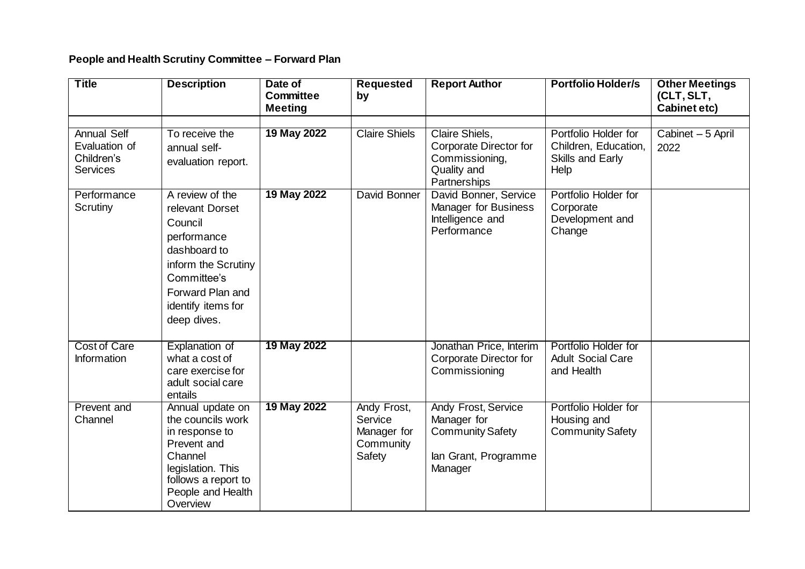## **People and Health Scrutiny Committee – Forward Plan**

| <b>Title</b>                                                         | <b>Description</b>                                                                                                                                                          | Date of<br><b>Committee</b> | <b>Requested</b><br>by                                       | <b>Report Author</b>                                                                                    | <b>Portfolio Holder/s</b>                                                | <b>Other Meetings</b><br>(CLT, SLT, |
|----------------------------------------------------------------------|-----------------------------------------------------------------------------------------------------------------------------------------------------------------------------|-----------------------------|--------------------------------------------------------------|---------------------------------------------------------------------------------------------------------|--------------------------------------------------------------------------|-------------------------------------|
|                                                                      |                                                                                                                                                                             | <b>Meeting</b>              |                                                              |                                                                                                         |                                                                          | Cabinet etc)                        |
| <b>Annual Self</b><br>Evaluation of<br>Children's<br><b>Services</b> | To receive the<br>annual self-<br>evaluation report.                                                                                                                        | 19 May 2022                 | <b>Claire Shiels</b>                                         | Claire Shiels,<br>Corporate Director for<br>Commissioning,<br>Quality and<br>Partnerships               | Portfolio Holder for<br>Children, Education,<br>Skills and Early<br>Help | Cabinet - 5 April<br>2022           |
| Performance<br>Scrutiny                                              | A review of the<br>relevant Dorset<br>Council<br>performance<br>dashboard to<br>inform the Scrutiny<br>Committee's<br>Forward Plan and<br>identify items for<br>deep dives. | 19 May 2022                 | David Bonner                                                 | David Bonner, Service<br>Manager for Business<br>Intelligence and<br>Performance                        | Portfolio Holder for<br>Corporate<br>Development and<br>Change           |                                     |
| <b>Cost of Care</b><br>Information                                   | Explanation of<br>what a cost of<br>care exercise for<br>adult social care<br>entails                                                                                       | 19 May 2022                 |                                                              | Jonathan Price, Interim<br>Corporate Director for<br>Commissioning                                      | Portfolio Holder for<br><b>Adult Social Care</b><br>and Health           |                                     |
| <b>Prevent and</b><br>Channel                                        | Annual update on<br>the councils work<br>in response to<br>Prevent and<br>Channel<br>legislation. This<br>follows a report to<br>People and Health<br>Overview              | 19 May 2022                 | Andy Frost,<br>Service<br>Manager for<br>Community<br>Safety | <b>Andy Frost, Service</b><br>Manager for<br><b>Community Safety</b><br>lan Grant, Programme<br>Manager | Portfolio Holder for<br>Housing and<br><b>Community Safety</b>           |                                     |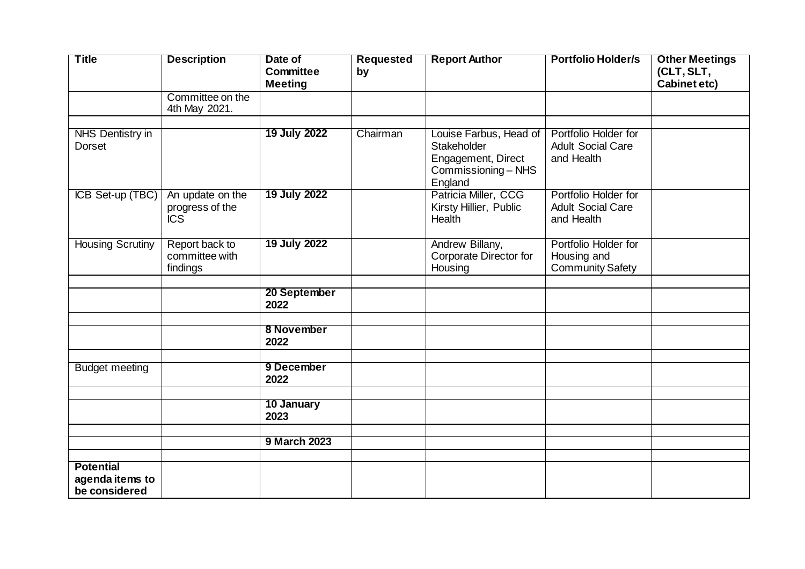| <b>Title</b>                                         | <b>Description</b>                                | Date of<br><b>Committee</b> | <b>Requested</b><br>by | <b>Report Author</b>                                                                          | <b>Portfolio Holder/s</b>                                      | <b>Other Meetings</b><br>(CLT, SLT, |
|------------------------------------------------------|---------------------------------------------------|-----------------------------|------------------------|-----------------------------------------------------------------------------------------------|----------------------------------------------------------------|-------------------------------------|
|                                                      |                                                   | <b>Meeting</b>              |                        |                                                                                               |                                                                | <b>Cabinet etc)</b>                 |
|                                                      | Committee on the<br>4th May 2021.                 |                             |                        |                                                                                               |                                                                |                                     |
| <b>NHS Dentistry in</b><br><b>Dorset</b>             |                                                   | 19 July 2022                | Chairman               | Louise Farbus, Head of<br>Stakeholder<br>Engagement, Direct<br>Commissioning - NHS<br>England | Portfolio Holder for<br><b>Adult Social Care</b><br>and Health |                                     |
| ICB Set-up (TBC)                                     | An update on the<br>progress of the<br><b>ICS</b> | 19 July 2022                |                        | Patricia Miller, CCG<br>Kirsty Hillier, Public<br>Health                                      | Portfolio Holder for<br><b>Adult Social Care</b><br>and Health |                                     |
| <b>Housing Scrutiny</b>                              | Report back to<br>committee with<br>findings      | 19 July 2022                |                        | Andrew Billany,<br>Corporate Director for<br>Housing                                          | Portfolio Holder for<br>Housing and<br><b>Community Safety</b> |                                     |
|                                                      |                                                   | 20 September<br>2022        |                        |                                                                                               |                                                                |                                     |
|                                                      |                                                   | 8 November<br>2022          |                        |                                                                                               |                                                                |                                     |
| <b>Budget meeting</b>                                |                                                   | 9 December<br>2022          |                        |                                                                                               |                                                                |                                     |
|                                                      |                                                   | 10 January<br>2023          |                        |                                                                                               |                                                                |                                     |
|                                                      |                                                   | <b>9 March 2023</b>         |                        |                                                                                               |                                                                |                                     |
|                                                      |                                                   |                             |                        |                                                                                               |                                                                |                                     |
| <b>Potential</b><br>agenda items to<br>be considered |                                                   |                             |                        |                                                                                               |                                                                |                                     |